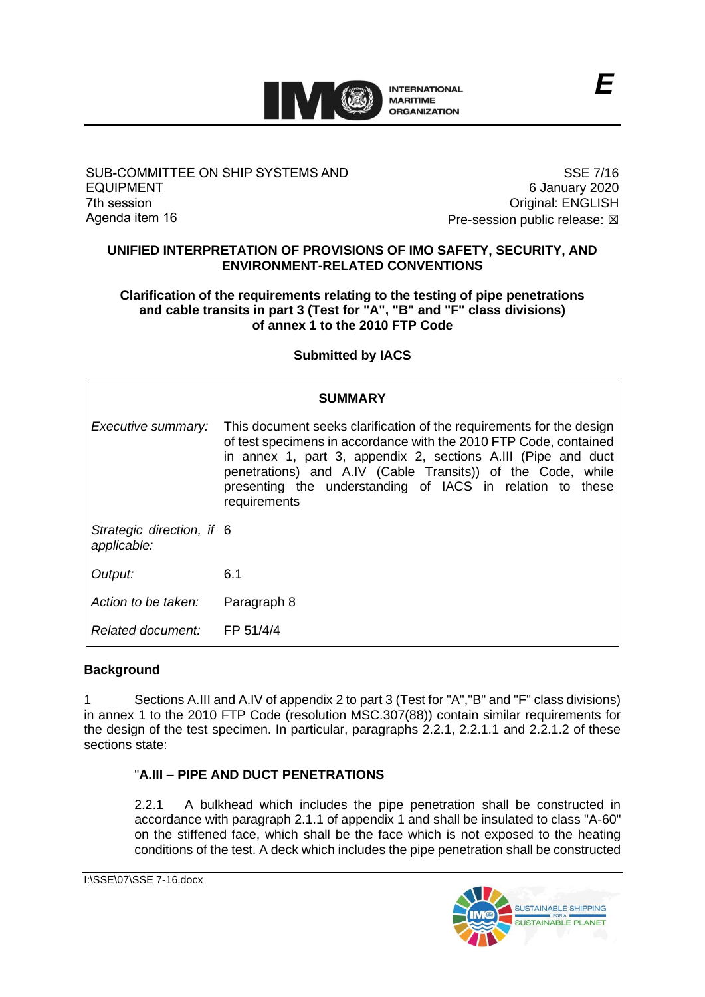

#### SUB-COMMITTEE ON SHIP SYSTEMS AND EQUIPMENT 7th session Agenda item 16

SSE 7/16 6 January 2020 Original: ENGLISH Pre-session public release:  $\boxtimes$ 

#### **UNIFIED INTERPRETATION OF PROVISIONS OF IMO SAFETY, SECURITY, AND ENVIRONMENT-RELATED CONVENTIONS**

## **Clarification of the requirements relating to the testing of pipe penetrations and cable transits in part 3 (Test for "A", "B" and "F" class divisions) of annex 1 to the 2010 FTP Code**

# **Submitted by IACS**

| <b>SUMMARY</b>                           |                                                                                                                                                                                                                                                                                                                                                        |
|------------------------------------------|--------------------------------------------------------------------------------------------------------------------------------------------------------------------------------------------------------------------------------------------------------------------------------------------------------------------------------------------------------|
| Executive summary:                       | This document seeks clarification of the requirements for the design<br>of test specimens in accordance with the 2010 FTP Code, contained<br>in annex 1, part 3, appendix 2, sections A.III (Pipe and duct<br>penetrations) and A.IV (Cable Transits)) of the Code, while<br>presenting the understanding of IACS in relation to these<br>requirements |
| Strategic direction, if 6<br>applicable: |                                                                                                                                                                                                                                                                                                                                                        |
| Output:                                  | 6.1                                                                                                                                                                                                                                                                                                                                                    |
| Action to be taken:                      | Paragraph 8                                                                                                                                                                                                                                                                                                                                            |
| Related document:                        | FP 51/4/4                                                                                                                                                                                                                                                                                                                                              |

## **Background**

1 Sections A.III and A.IV of appendix 2 to part 3 (Test for "A","B" and "F" class divisions) in annex 1 to the 2010 FTP Code (resolution MSC.307(88)) contain similar requirements for the design of the test specimen. In particular, paragraphs 2.2.1, 2.2.1.1 and 2.2.1.2 of these sections state:

# "**A.III – PIPE AND DUCT PENETRATIONS**

2.2.1 A bulkhead which includes the pipe penetration shall be constructed in accordance with paragraph 2.1.1 of appendix 1 and shall be insulated to class "A-60" on the stiffened face, which shall be the face which is not exposed to the heating conditions of the test. A deck which includes the pipe penetration shall be constructed

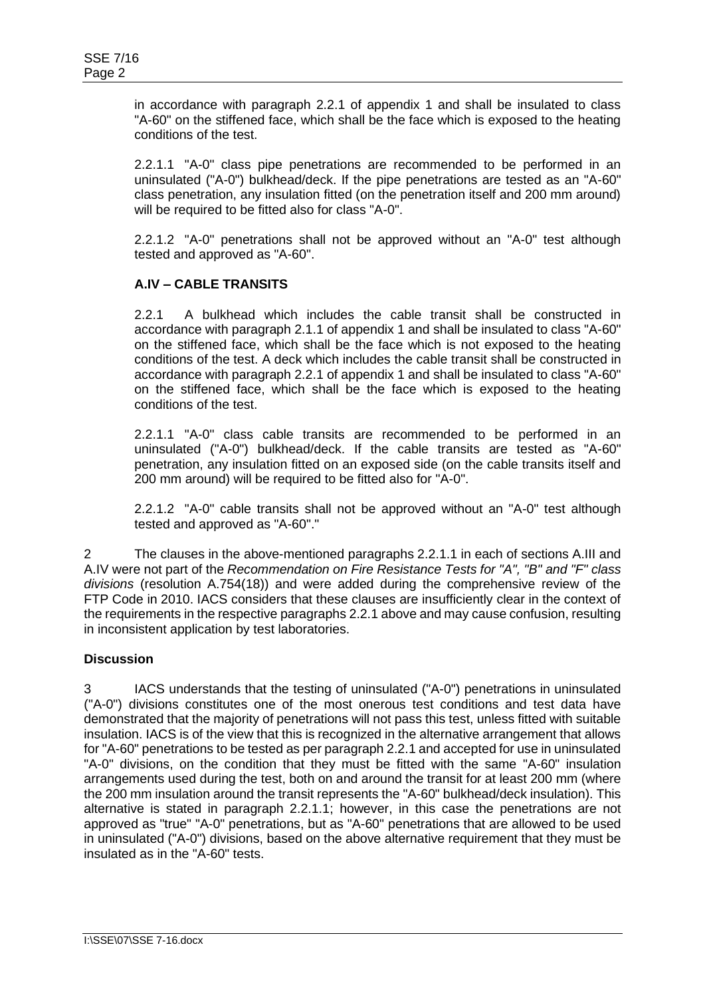in accordance with paragraph 2.2.1 of appendix 1 and shall be insulated to class "A-60" on the stiffened face, which shall be the face which is exposed to the heating conditions of the test.

2.2.1.1 "A-0" class pipe penetrations are recommended to be performed in an uninsulated ("A-0") bulkhead/deck. If the pipe penetrations are tested as an "A-60" class penetration, any insulation fitted (on the penetration itself and 200 mm around) will be required to be fitted also for class "A-0".

2.2.1.2 "A-0" penetrations shall not be approved without an "A-0" test although tested and approved as "A-60".

# **A.IV – CABLE TRANSITS**

2.2.1 A bulkhead which includes the cable transit shall be constructed in accordance with paragraph 2.1.1 of appendix 1 and shall be insulated to class "A-60" on the stiffened face, which shall be the face which is not exposed to the heating conditions of the test. A deck which includes the cable transit shall be constructed in accordance with paragraph 2.2.1 of appendix 1 and shall be insulated to class "A-60" on the stiffened face, which shall be the face which is exposed to the heating conditions of the test.

2.2.1.1 "A-0" class cable transits are recommended to be performed in an uninsulated ("A-0") bulkhead/deck. If the cable transits are tested as "A-60" penetration, any insulation fitted on an exposed side (on the cable transits itself and 200 mm around) will be required to be fitted also for "A-0".

2.2.1.2 "A-0" cable transits shall not be approved without an "A-0" test although tested and approved as "A-60"."

2 The clauses in the above-mentioned paragraphs 2.2.1.1 in each of sections A.III and A.IV were not part of the *Recommendation on Fire Resistance Tests for "A", "B" and "F" class divisions* (resolution A.754(18)) and were added during the comprehensive review of the FTP Code in 2010. IACS considers that these clauses are insufficiently clear in the context of the requirements in the respective paragraphs 2.2.1 above and may cause confusion, resulting in inconsistent application by test laboratories.

## **Discussion**

3 IACS understands that the testing of uninsulated ("A-0") penetrations in uninsulated ("A-0") divisions constitutes one of the most onerous test conditions and test data have demonstrated that the majority of penetrations will not pass this test, unless fitted with suitable insulation. IACS is of the view that this is recognized in the alternative arrangement that allows for "A-60" penetrations to be tested as per paragraph 2.2.1 and accepted for use in uninsulated "A-0" divisions, on the condition that they must be fitted with the same "A-60" insulation arrangements used during the test, both on and around the transit for at least 200 mm (where the 200 mm insulation around the transit represents the "A-60" bulkhead/deck insulation). This alternative is stated in paragraph 2.2.1.1; however, in this case the penetrations are not approved as "true" "A-0" penetrations, but as "A-60" penetrations that are allowed to be used in uninsulated ("A-0") divisions, based on the above alternative requirement that they must be insulated as in the "A-60" tests.